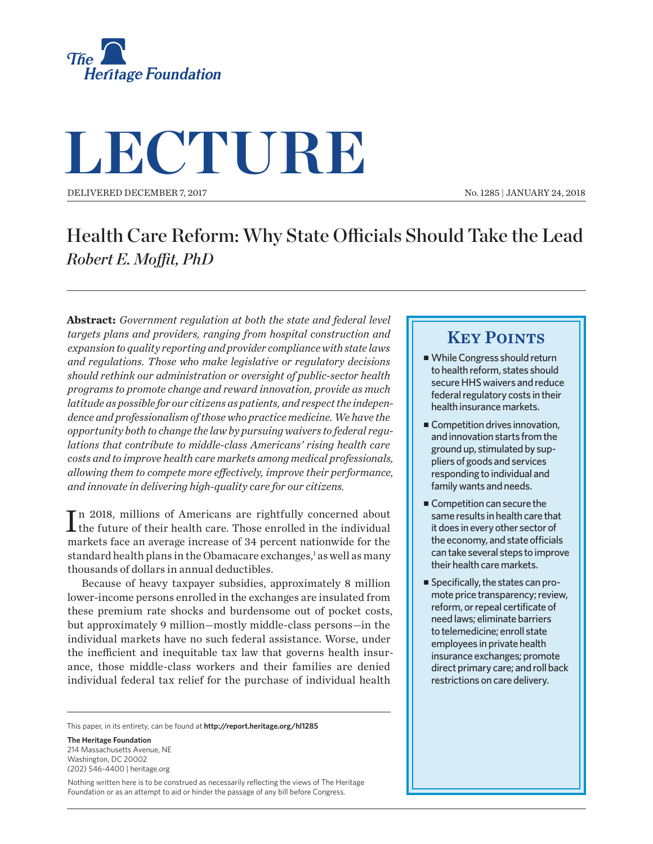

# **LECTURE**

DELIVERED DECEMBER 7, 2017

No. 1285 | JANUARY 24, 2018

## Health Care Reform: Why State Officials Should Take the Lead *Robert E. Moft, PhD*

**Abstract:** *Government regulation at both the state and federal level targets plans and providers, ranging from hospital construction and expansion to quality reporting and provider compliance with state laws and regulations. Those who make legislative or regulatory decisions should rethink our administration or oversight of public-sector health programs to promote change and reward innovation, provide as much latitude as possible for our citizens as patients, and respect the independence and professionalism of those who practice medicine. We have the opportunity both to change the law by pursuing waivers to federal regulations that contribute to middle-class Americans' rising health care costs and to improve health care markets among medical professionals, allowing them to compete more efectively, improve their performance, and innovate in delivering high-quality care for our citizens.*

In 2018, millions of Americans are rightfully concerned about<br>the future of their health care. Those enrolled in the individual **T** n 2018, millions of Americans are rightfully concerned about markets face an average increase of 34 percent nationwide for the standard health plans in the Obamacare exchanges,<sup>1</sup> as well as many thousands of dollars in annual deductibles.

Because of heavy taxpayer subsidies, approximately 8 million lower-income persons enrolled in the exchanges are insulated from these premium rate shocks and burdensome out of pocket costs, but approximately 9 million—mostly middle-class persons—in the individual markets have no such federal assistance. Worse, under the inefficient and inequitable tax law that governs health insurance, those middle-class workers and their families are denied individual federal tax relief for the purchase of individual health

This paper, in its entirety, can be found at **http://report.heritage.org/hl1285**

**The Heritage Foundation** 214 Massachusetts Avenue, NF Washington, DC 20002 (202) 546-4400 | heritage.org

Nothing written here is to be construed as necessarily reflecting the views of The Heritage Foundation or as an attempt to aid or hinder the passage of any bill before Congress.

### **KEY POINTS**

- While Congress should return to health reform, states should secure HHS waivers and reduce federal regulatory costs in their health insurance markets.
- $\blacksquare$  Competition drives innovation, and innovation starts from the ground up, stimulated by suppliers of goods and services responding to individual and family wants and needs.
- Competition can secure the same results in health care that it does in every other sector of the economy, and state officials can take several steps to improve their health care markets.
- Specifically, the states can promote price transparency; review, reform, or repeal certificate of need laws; eliminate barriers to telemedicine; enroll state employees in private health insurance exchanges; promote direct primary care; and roll back restrictions on care delivery.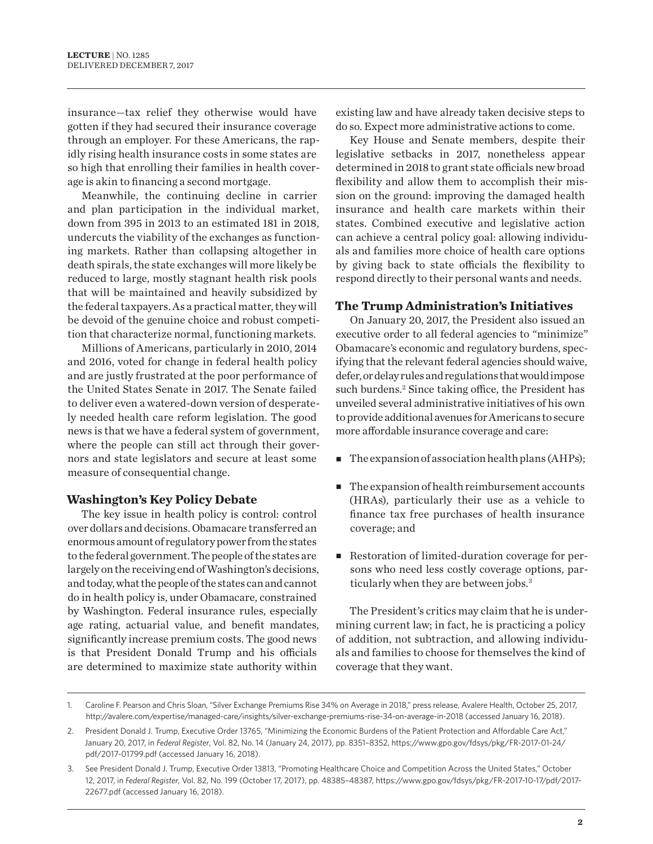insurance—tax relief they otherwise would have gotten if they had secured their insurance coverage through an employer. For these Americans, the rapidly rising health insurance costs in some states are so high that enrolling their families in health coverage is akin to financing a second mortgage.

Meanwhile, the continuing decline in carrier and plan participation in the individual market, down from 395 in 2013 to an estimated 181 in 2018, undercuts the viability of the exchanges as functioning markets. Rather than collapsing altogether in death spirals, the state exchanges will more likely be reduced to large, mostly stagnant health risk pools that will be maintained and heavily subsidized by the federal taxpayers. As a practical matter, they will be devoid of the genuine choice and robust competition that characterize normal, functioning markets.

Millions of Americans, particularly in 2010, 2014 and 2016, voted for change in federal health policy and are justly frustrated at the poor performance of the United States Senate in 2017. The Senate failed to deliver even a watered-down version of desperately needed health care reform legislation. The good news is that we have a federal system of government, where the people can still act through their governors and state legislators and secure at least some measure of consequential change.

#### **Washington's Key Policy Debate**

The key issue in health policy is control: control over dollars and decisions. Obamacare transferred an enormous amount of regulatory power from the states to the federal government. The people of the states are largely on the receiving end of Washington's decisions, and today, what the people of the states can and cannot do in health policy is, under Obamacare, constrained by Washington. Federal insurance rules, especially age rating, actuarial value, and benefit mandates, significantly increase premium costs. The good news is that President Donald Trump and his officials are determined to maximize state authority within

existing law and have already taken decisive steps to do so. Expect more administrative actions to come.

Key House and Senate members, despite their legislative setbacks in 2017, nonetheless appear determined in 2018 to grant state officials new broad flexibility and allow them to accomplish their mission on the ground: improving the damaged health insurance and health care markets within their states. Combined executive and legislative action can achieve a central policy goal: allowing individuals and families more choice of health care options by giving back to state officials the flexibility to respond directly to their personal wants and needs.

#### **The Trump Administration's Initiatives**

On January 20, 2017, the President also issued an executive order to all federal agencies to "minimize" Obamacare's economic and regulatory burdens, specifying that the relevant federal agencies should waive, defer, or delay rules and regulations that would impose such burdens.<sup>2</sup> Since taking office, the President has unveiled several administrative initiatives of his own to provide additional avenues for Americans to secure more affordable insurance coverage and care:

- $\blacksquare$  The expansion of association health plans (AHPs);
- $\blacksquare$  The expansion of health reimbursement accounts (HRAs), particularly their use as a vehicle to finance tax free purchases of health insurance coverage; and
- Restoration of limited-duration coverage for persons who need less costly coverage options, particularly when they are between jobs.3

The President's critics may claim that he is undermining current law; in fact, he is practicing a policy of addition, not subtraction, and allowing individuals and families to choose for themselves the kind of coverage that they want.

<sup>1.</sup> Caroline F. Pearson and Chris Sloan, "Silver Exchange Premiums Rise 34% on Average in 2018," press release, Avalere Health, October 25, 2017, http://avalere.com/expertise/managed-care/insights/silver-exchange-premiums-rise-34-on-average-in-2018 (accessed January 16, 2018).

<sup>2.</sup> President Donald J. Trump, Executive Order 13765, "Minimizing the Economic Burdens of the Patient Protection and Afordable Care Act," January 20, 2017, in *Federal Register*, Vol. 82, No. 14 (January 24, 2017), pp. 8351–8352, https://www.gpo.gov/fdsys/pkg/FR-2017-01-24/ pdf/2017-01799.pdf (accessed January 16, 2018).

<sup>3.</sup> See President Donald J. Trump, Executive Order 13813, "Promoting Healthcare Choice and Competition Across the United States," October 12, 2017, in *Federal Register*, Vol. 82, No. 199 (October 17, 2017), pp. 48385–48387, https://www.gpo.gov/fdsys/pkg/FR-2017-10-17/pdf/2017- 22677.pdf (accessed January 16, 2018).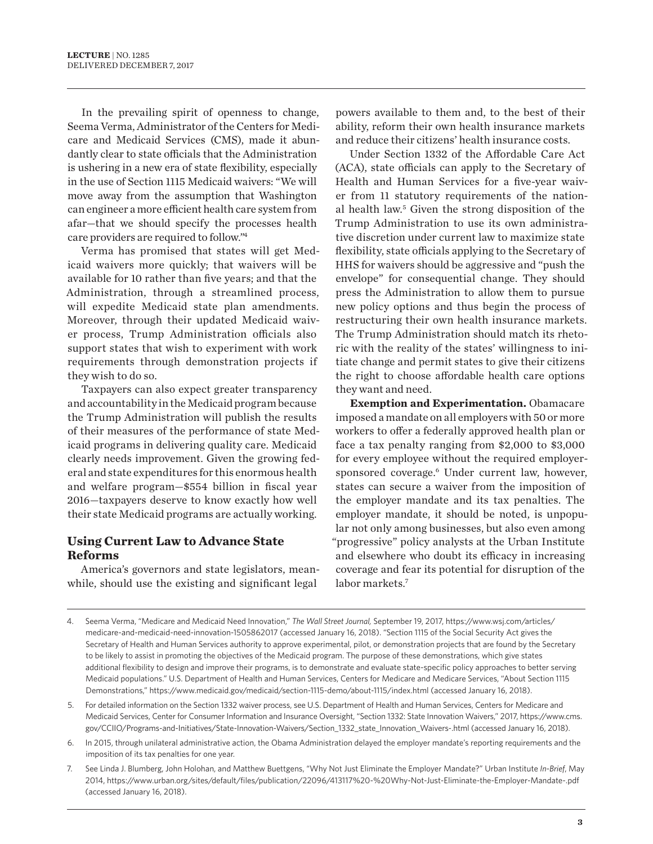In the prevailing spirit of openness to change, Seema Verma, Administrator of the Centers for Medicare and Medicaid Services (CMS), made it abundantly clear to state officials that the Administration is ushering in a new era of state flexibility, especially in the use of Section 1115 Medicaid waivers: "We will move away from the assumption that Washington can engineer a more efficient health care system from afar—that we should specify the processes health care providers are required to follow."4

Verma has promised that states will get Medicaid waivers more quickly; that waivers will be available for 10 rather than five years; and that the Administration, through a streamlined process, will expedite Medicaid state plan amendments. Moreover, through their updated Medicaid waiver process, Trump Administration officials also support states that wish to experiment with work requirements through demonstration projects if they wish to do so.

Taxpayers can also expect greater transparency and accountability in the Medicaid program because the Trump Administration will publish the results of their measures of the performance of state Medicaid programs in delivering quality care. Medicaid clearly needs improvement. Given the growing federal and state expenditures for this enormous health and welfare program—\$554 billion in fiscal year 2016—taxpayers deserve to know exactly how well their state Medicaid programs are actually working.

#### **Using Current Law to Advance State Reforms**

America's governors and state legislators, meanwhile, should use the existing and significant legal

powers available to them and, to the best of their ability, reform their own health insurance markets and reduce their citizens' health insurance costs.

Under Section 1332 of the Afordable Care Act (ACA), state officials can apply to the Secretary of Health and Human Services for a five-year waiver from 11 statutory requirements of the national health law.5 Given the strong disposition of the Trump Administration to use its own administrative discretion under current law to maximize state flexibility, state officials applying to the Secretary of HHS for waivers should be aggressive and "push the envelope" for consequential change. They should press the Administration to allow them to pursue new policy options and thus begin the process of restructuring their own health insurance markets. The Trump Administration should match its rhetoric with the reality of the states' willingness to initiate change and permit states to give their citizens the right to choose afordable health care options they want and need.

**Exemption and Experimentation.** Obamacare imposed a mandate on all employers with 50 or more workers to offer a federally approved health plan or face a tax penalty ranging from \$2,000 to \$3,000 for every employee without the required employersponsored coverage.<sup>6</sup> Under current law, however, states can secure a waiver from the imposition of the employer mandate and its tax penalties. The employer mandate, it should be noted, is unpopular not only among businesses, but also even among "progressive" policy analysts at the Urban Institute and elsewhere who doubt its efficacy in increasing coverage and fear its potential for disruption of the labor markets.7

- 5. For detailed information on the Section 1332 waiver process, see U.S. Department of Health and Human Services, Centers for Medicare and Medicaid Services, Center for Consumer Information and Insurance Oversight, "Section 1332: State Innovation Waivers," 2017, https://www.cms. gov/CCIIO/Programs-and-Initiatives/State-Innovation-Waivers/Section\_1332\_state\_Innovation\_Waivers-.html (accessed January 16, 2018).
- 6. In 2015, through unilateral administrative action, the Obama Administration delayed the employer mandate's reporting requirements and the imposition of its tax penalties for one year.
- 7. See Linda J. Blumberg, John Holohan, and Matthew Buettgens, "Why Not Just Eliminate the Employer Mandate?" Urban Institute *In-Brief*, May 2014, https://www.urban.org/sites/default/files/publication/22096/413117%20-%20Why-Not-Just-Eliminate-the-Employer-Mandate-.pdf (accessed January 16, 2018).

<sup>4.</sup> Seema Verma, "Medicare and Medicaid Need Innovation," *The Wall Street Journal,* September 19, 2017, https://www.wsj.com/articles/ medicare-and-medicaid-need-innovation-1505862017 (accessed January 16, 2018). "Section 1115 of the Social Security Act gives the Secretary of Health and Human Services authority to approve experimental, pilot, or demonstration projects that are found by the Secretary to be likely to assist in promoting the objectives of the Medicaid program. The purpose of these demonstrations, which give states additional flexibility to design and improve their programs, is to demonstrate and evaluate state-specific policy approaches to better serving Medicaid populations." U.S. Department of Health and Human Services, Centers for Medicare and Medicare Services, "About Section 1115 Demonstrations," https://www.medicaid.gov/medicaid/section-1115-demo/about-1115/index.html (accessed January 16, 2018).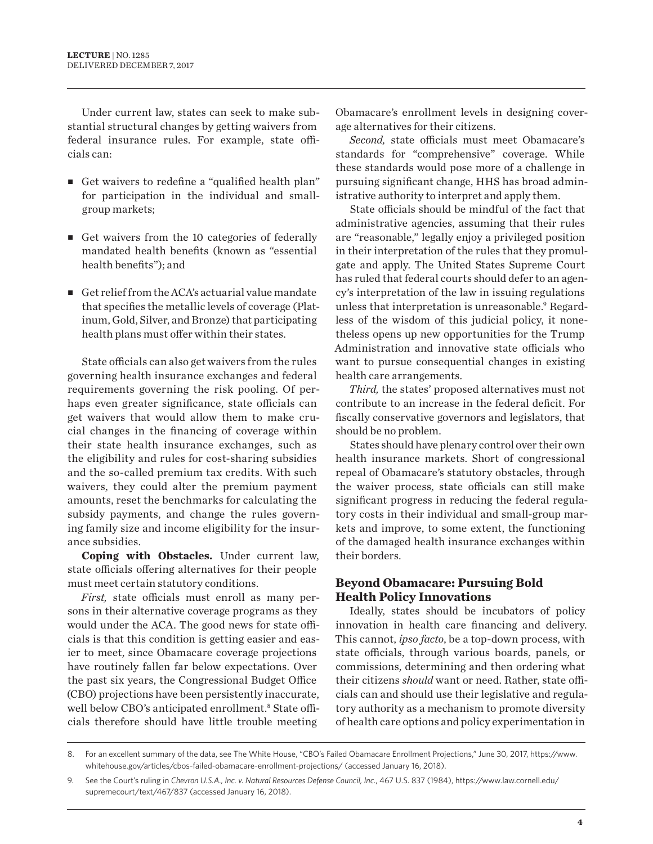Under current law, states can seek to make substantial structural changes by getting waivers from federal insurance rules. For example, state officials can:

- <sup>n</sup> Get waivers to redefine a "qualified health plan" for participation in the individual and smallgroup markets;
- $\blacksquare$  Get waivers from the 10 categories of federally mandated health benefits (known as "essential health benefits"); and
- $\blacksquare$  Get relief from the ACA's actuarial value mandate that specifies the metallic levels of coverage (Platinum, Gold, Silver, and Bronze) that participating health plans must offer within their states.

State officials can also get waivers from the rules governing health insurance exchanges and federal requirements governing the risk pooling. Of perhaps even greater significance, state officials can get waivers that would allow them to make crucial changes in the financing of coverage within their state health insurance exchanges, such as the eligibility and rules for cost-sharing subsidies and the so-called premium tax credits. With such waivers, they could alter the premium payment amounts, reset the benchmarks for calculating the subsidy payments, and change the rules governing family size and income eligibility for the insurance subsidies.

**Coping with Obstacles.** Under current law, state officials offering alternatives for their people must meet certain statutory conditions.

*First,* state officials must enroll as many persons in their alternative coverage programs as they would under the ACA. The good news for state officials is that this condition is getting easier and easier to meet, since Obamacare coverage projections have routinely fallen far below expectations. Over the past six years, the Congressional Budget Office (CBO) projections have been persistently inaccurate, well below CBO's anticipated enrollment.<sup>8</sup> State officials therefore should have little trouble meeting

Obamacare's enrollment levels in designing coverage alternatives for their citizens.

*Second, state officials must meet Obamacare's* standards for "comprehensive" coverage. While these standards would pose more of a challenge in pursuing significant change, HHS has broad administrative authority to interpret and apply them.

State officials should be mindful of the fact that administrative agencies, assuming that their rules are "reasonable," legally enjoy a privileged position in their interpretation of the rules that they promulgate and apply. The United States Supreme Court has ruled that federal courts should defer to an agency's interpretation of the law in issuing regulations unless that interpretation is unreasonable.9 Regardless of the wisdom of this judicial policy, it nonetheless opens up new opportunities for the Trump Administration and innovative state officials who want to pursue consequential changes in existing health care arrangements.

*Third,* the states' proposed alternatives must not contribute to an increase in the federal deficit. For fiscally conservative governors and legislators, that should be no problem.

States should have plenary control over their own health insurance markets. Short of congressional repeal of Obamacare's statutory obstacles, through the waiver process, state officials can still make significant progress in reducing the federal regulatory costs in their individual and small-group markets and improve, to some extent, the functioning of the damaged health insurance exchanges within their borders.

#### **Beyond Obamacare: Pursuing Bold Health Policy Innovations**

Ideally, states should be incubators of policy innovation in health care financing and delivery. This cannot, *ipso facto*, be a top-down process, with state officials, through various boards, panels, or commissions, determining and then ordering what their citizens *should* want or need. Rather, state officials can and should use their legislative and regulatory authority as a mechanism to promote diversity of health care options and policy experimentation in

<sup>8.</sup> For an excellent summary of the data, see The White House, "CBO's Failed Obamacare Enrollment Projections," June 30, 2017, https://www. whitehouse.gov/articles/cbos-failed-obamacare-enrollment-projections/ (accessed January 16, 2018).

<sup>9.</sup> See the Court's ruling in *Chevron U.S.A., Inc. v. Natural Resources Defense Council, Inc.*, 467 U.S. 837 (1984), https://www.law.cornell.edu/ supremecourt/text/467/837 (accessed January 16, 2018).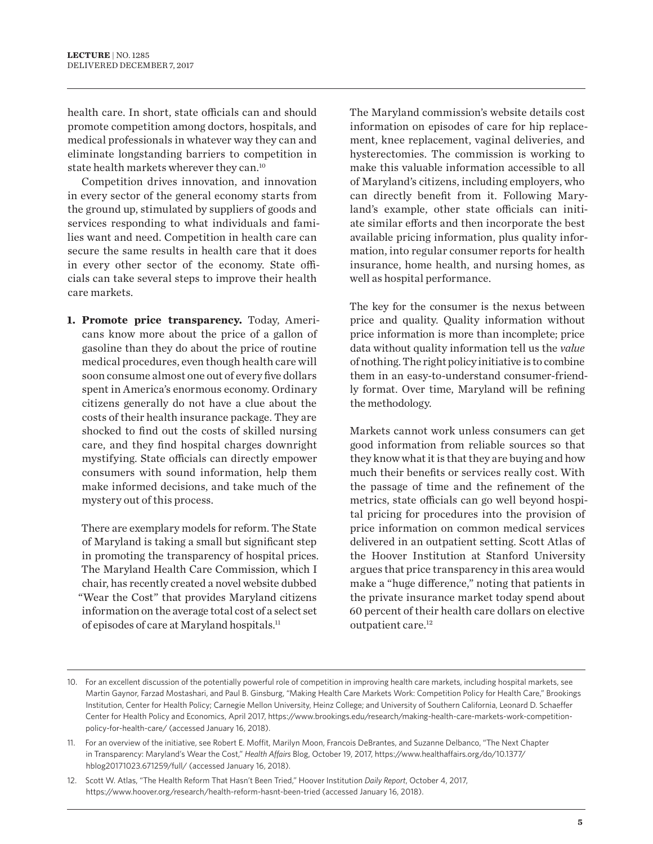health care. In short, state officials can and should promote competition among doctors, hospitals, and medical professionals in whatever way they can and eliminate longstanding barriers to competition in state health markets wherever they can.10

Competition drives innovation, and innovation in every sector of the general economy starts from the ground up, stimulated by suppliers of goods and services responding to what individuals and families want and need. Competition in health care can secure the same results in health care that it does in every other sector of the economy. State officials can take several steps to improve their health care markets.

**1. Promote price transparency.** Today, Americans know more about the price of a gallon of gasoline than they do about the price of routine medical procedures, even though health care will soon consume almost one out of every five dollars spent in America's enormous economy. Ordinary citizens generally do not have a clue about the costs of their health insurance package. They are shocked to find out the costs of skilled nursing care, and they find hospital charges downright mystifying. State officials can directly empower consumers with sound information, help them make informed decisions, and take much of the mystery out of this process.

There are exemplary models for reform. The State of Maryland is taking a small but significant step in promoting the transparency of hospital prices. The Maryland Health Care Commission, which I chair, has recently created a novel website dubbed "Wear the Cost" that provides Maryland citizens information on the average total cost of a select set of episodes of care at Maryland hospitals.11

The Maryland commission's website details cost information on episodes of care for hip replacement, knee replacement, vaginal deliveries, and hysterectomies. The commission is working to make this valuable information accessible to all of Maryland's citizens, including employers, who can directly benefit from it. Following Maryland's example, other state officials can initiate similar efforts and then incorporate the best available pricing information, plus quality information, into regular consumer reports for health insurance, home health, and nursing homes, as well as hospital performance.

The key for the consumer is the nexus between price and quality. Quality information without price information is more than incomplete; price data without quality information tell us the *value*  of nothing. The right policy initiative is to combine them in an easy-to-understand consumer-friendly format. Over time, Maryland will be refining the methodology.

Markets cannot work unless consumers can get good information from reliable sources so that they know what it is that they are buying and how much their benefits or services really cost. With the passage of time and the refinement of the metrics, state officials can go well beyond hospital pricing for procedures into the provision of price information on common medical services delivered in an outpatient setting. Scott Atlas of the Hoover Institution at Stanford University argues that price transparency in this area would make a "huge diference," noting that patients in the private insurance market today spend about 60 percent of their health care dollars on elective outpatient care.12

<sup>10.</sup> For an excellent discussion of the potentially powerful role of competition in improving health care markets, including hospital markets, see Martin Gaynor, Farzad Mostashari, and Paul B. Ginsburg, "Making Health Care Markets Work: Competition Policy for Health Care," Brookings Institution, Center for Health Policy; Carnegie Mellon University, Heinz College; and University of Southern California, Leonard D. Schaeffer Center for Health Policy and Economics, April 2017, https://www.brookings.edu/research/making-health-care-markets-work-competitionpolicy-for-health-care/ (accessed January 16, 2018).

<sup>11.</sup> For an overview of the initiative, see Robert E. Moffit, Marilyn Moon, Francois DeBrantes, and Suzanne Delbanco, "The Next Chapter in Transparency: Maryland's Wear the Cost," *Health Afairs* Blog, October 19, 2017, https://www.healthafairs.org/do/10.1377/ hblog20171023.671259/full/ (accessed January 16, 2018).

<sup>12.</sup> Scott W. Atlas, "The Health Reform That Hasn't Been Tried," Hoover Institution *Daily Report*, October 4, 2017, https://www.hoover.org/research/health-reform-hasnt-been-tried (accessed January 16, 2018).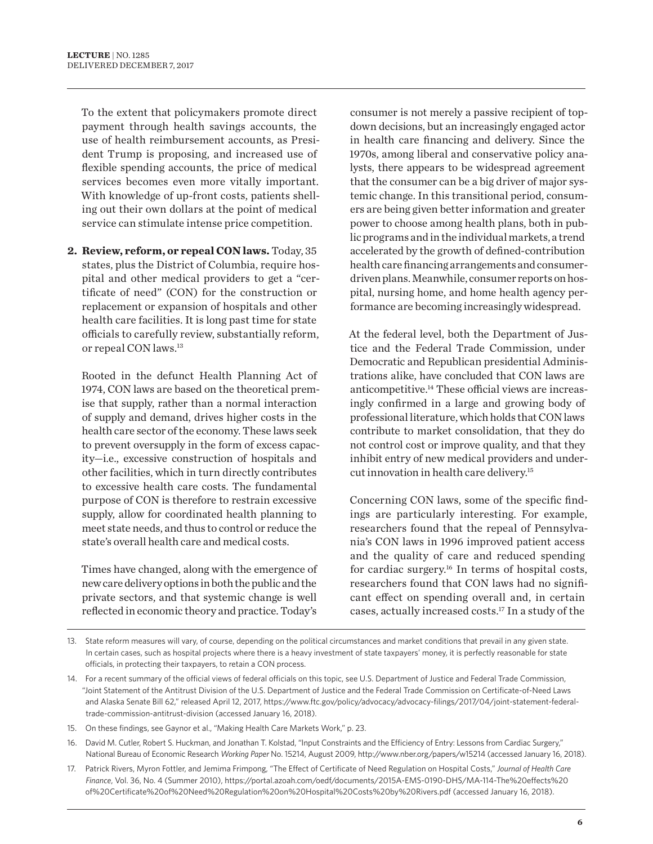To the extent that policymakers promote direct payment through health savings accounts, the use of health reimbursement accounts, as President Trump is proposing, and increased use of flexible spending accounts, the price of medical services becomes even more vitally important. With knowledge of up-front costs, patients shelling out their own dollars at the point of medical service can stimulate intense price competition.

**2. Review, reform, or repeal CON laws.** Today, 35 states, plus the District of Columbia, require hospital and other medical providers to get a "certificate of need" (CON) for the construction or replacement or expansion of hospitals and other health care facilities. It is long past time for state officials to carefully review, substantially reform, or repeal CON laws.13

Rooted in the defunct Health Planning Act of 1974, CON laws are based on the theoretical premise that supply, rather than a normal interaction of supply and demand, drives higher costs in the health care sector of the economy. These laws seek to prevent oversupply in the form of excess capacity—i.e., excessive construction of hospitals and other facilities, which in turn directly contributes to excessive health care costs. The fundamental purpose of CON is therefore to restrain excessive supply, allow for coordinated health planning to meet state needs, and thus to control or reduce the state's overall health care and medical costs.

Times have changed, along with the emergence of new care delivery options in both the public and the private sectors, and that systemic change is well reflected in economic theory and practice. Today's

consumer is not merely a passive recipient of topdown decisions, but an increasingly engaged actor in health care financing and delivery. Since the 1970s, among liberal and conservative policy analysts, there appears to be widespread agreement that the consumer can be a big driver of major systemic change. In this transitional period, consumers are being given better information and greater power to choose among health plans, both in public programs and in the individual markets, a trend accelerated by the growth of defined-contribution health care financing arrangements and consumerdriven plans. Meanwhile, consumer reports on hospital, nursing home, and home health agency performance are becoming increasingly widespread.

At the federal level, both the Department of Justice and the Federal Trade Commission, under Democratic and Republican presidential Administrations alike, have concluded that CON laws are anticompetitive.<sup>14</sup> These official views are increasingly confirmed in a large and growing body of professional literature, which holds that CON laws contribute to market consolidation, that they do not control cost or improve quality, and that they inhibit entry of new medical providers and undercut innovation in health care delivery.15

Concerning CON laws, some of the specific findings are particularly interesting. For example, researchers found that the repeal of Pennsylvania's CON laws in 1996 improved patient access and the quality of care and reduced spending for cardiac surgery.<sup>16</sup> In terms of hospital costs, researchers found that CON laws had no significant efect on spending overall and, in certain cases, actually increased costs.17 In a study of the

15. On these findings, see Gaynor et al., "Making Health Care Markets Work," p. 23.

- 16. David M. Cutler, Robert S. Huckman, and Jonathan T. Kolstad, "Input Constraints and the Efficiency of Entry: Lessons from Cardiac Surgery," National Bureau of Economic Research *Working Paper* No. 15214, August 2009, http://www.nber.org/papers/w15214 (accessed January 16, 2018).
- 17. Patrick Rivers, Myron Fottler, and Jemima Frimpong, "The Efect of Certificate of Need Regulation on Hospital Costs," *Journal of Health Care Finance*, Vol. 36, No. 4 (Summer 2010), https://portal.azoah.com/oedf/documents/2015A-EMS-0190-DHS/MA-114-The%20efects%20 of%20Certificate%20of%20Need%20Regulation%20on%20Hospital%20Costs%20by%20Rivers.pdf (accessed January 16, 2018).

<sup>13.</sup> State reform measures will vary, of course, depending on the political circumstances and market conditions that prevail in any given state. In certain cases, such as hospital projects where there is a heavy investment of state taxpayers' money, it is perfectly reasonable for state officials, in protecting their taxpayers, to retain a CON process.

<sup>14.</sup> For a recent summary of the official views of federal officials on this topic, see U.S. Department of Justice and Federal Trade Commission, "Joint Statement of the Antitrust Division of the U.S. Department of Justice and the Federal Trade Commission on Certificate-of-Need Laws and Alaska Senate Bill 62," released April 12, 2017, https://www.ftc.gov/policy/advocacy/advocacy-filings/2017/04/joint-statement-federaltrade-commission-antitrust-division (accessed January 16, 2018).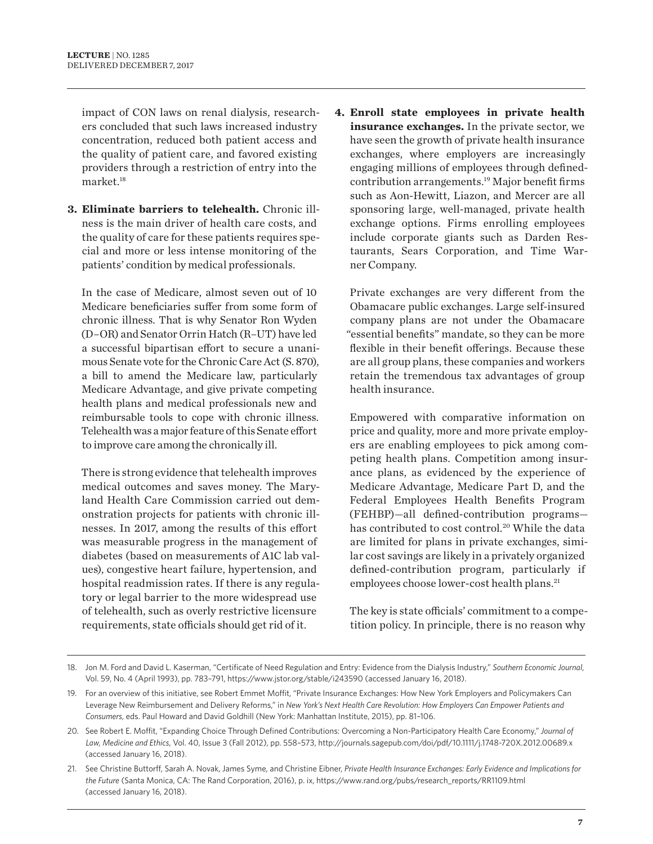impact of CON laws on renal dialysis, researchers concluded that such laws increased industry concentration, reduced both patient access and the quality of patient care, and favored existing providers through a restriction of entry into the market.18

**3. Eliminate barriers to telehealth.** Chronic illness is the main driver of health care costs, and the quality of care for these patients requires special and more or less intense monitoring of the patients' condition by medical professionals.

In the case of Medicare, almost seven out of 10 Medicare beneficiaries suffer from some form of chronic illness. That is why Senator Ron Wyden (D–OR) and Senator Orrin Hatch (R–UT) have led a successful bipartisan effort to secure a unanimous Senate vote for the Chronic Care Act (S. 870), a bill to amend the Medicare law, particularly Medicare Advantage, and give private competing health plans and medical professionals new and reimbursable tools to cope with chronic illness. Telehealth was a major feature of this Senate effort to improve care among the chronically ill.

There is strong evidence that telehealth improves medical outcomes and saves money. The Maryland Health Care Commission carried out demonstration projects for patients with chronic illnesses. In 2017, among the results of this effort was measurable progress in the management of diabetes (based on measurements of A1C lab values), congestive heart failure, hypertension, and hospital readmission rates. If there is any regulatory or legal barrier to the more widespread use of telehealth, such as overly restrictive licensure requirements, state officials should get rid of it.

**4. Enroll state employees in private health insurance exchanges.** In the private sector, we have seen the growth of private health insurance exchanges, where employers are increasingly engaging millions of employees through definedcontribution arrangements.<sup>19</sup> Major benefit firms such as Aon-Hewitt, Liazon, and Mercer are all sponsoring large, well-managed, private health exchange options. Firms enrolling employees include corporate giants such as Darden Restaurants, Sears Corporation, and Time Warner Company.

Private exchanges are very diferent from the Obamacare public exchanges. Large self-insured company plans are not under the Obamacare "essential benefits" mandate, so they can be more flexible in their benefit offerings. Because these are all group plans, these companies and workers retain the tremendous tax advantages of group health insurance.

Empowered with comparative information on price and quality, more and more private employers are enabling employees to pick among competing health plans. Competition among insurance plans, as evidenced by the experience of Medicare Advantage, Medicare Part D, and the Federal Employees Health Benefits Program (FEHBP)—all defined-contribution programs has contributed to cost control.<sup>20</sup> While the data are limited for plans in private exchanges, similar cost savings are likely in a privately organized defined-contribution program, particularly if employees choose lower-cost health plans.<sup>21</sup>

The key is state officials' commitment to a competition policy. In principle, there is no reason why

21. See Christine Buttorf, Sarah A. Novak, James Syme, and Christine Eibner, *Private Health Insurance Exchanges: Early Evidence and Implications for the Future* (Santa Monica, CA: The Rand Corporation, 2016), p. ix, https://www.rand.org/pubs/research\_reports/RR1109.html (accessed January 16, 2018).

<sup>18.</sup> Jon M. Ford and David L. Kaserman, "Certificate of Need Regulation and Entry: Evidence from the Dialysis Industry," *Southern Economic Journal*, Vol. 59, No. 4 (April 1993), pp. 783–791, https://www.jstor.org/stable/i243590 (accessed January 16, 2018).

<sup>19.</sup> For an overview of this initiative, see Robert Emmet Moffit, "Private Insurance Exchanges: How New York Employers and Policymakers Can Leverage New Reimbursement and Delivery Reforms," in *New York's Next Health Care Revolution: How Employers Can Empower Patients and Consumers*, eds. Paul Howard and David Goldhill (New York: Manhattan Institute, 2015), pp. 81–106.

<sup>20.</sup> See Robert E. Moffit, "Expanding Choice Through Defined Contributions: Overcoming a Non-Participatory Health Care Economy," Journal of *Law, Medicine and Ethics*, Vol. 40, Issue 3 (Fall 2012), pp. 558–573, http://journals.sagepub.com/doi/pdf/10.1111/j.1748-720X.2012.00689.x (accessed January 16, 2018).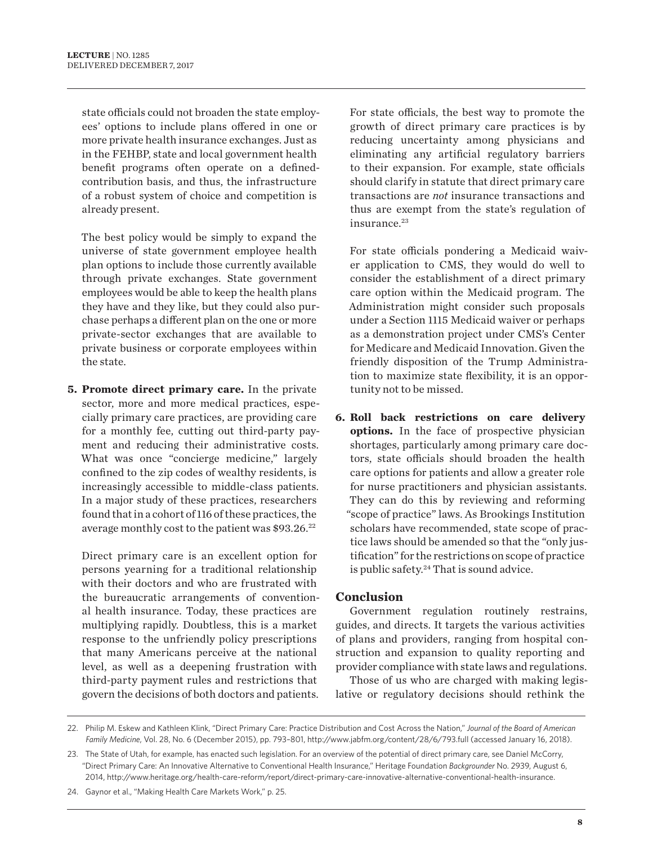state officials could not broaden the state employees' options to include plans ofered in one or more private health insurance exchanges. Just as in the FEHBP, state and local government health benefit programs often operate on a definedcontribution basis, and thus, the infrastructure of a robust system of choice and competition is already present.

The best policy would be simply to expand the universe of state government employee health plan options to include those currently available through private exchanges. State government employees would be able to keep the health plans they have and they like, but they could also purchase perhaps a diferent plan on the one or more private-sector exchanges that are available to private business or corporate employees within the state.

**5. Promote direct primary care.** In the private sector, more and more medical practices, especially primary care practices, are providing care for a monthly fee, cutting out third-party payment and reducing their administrative costs. What was once "concierge medicine," largely confined to the zip codes of wealthy residents, is increasingly accessible to middle-class patients. In a major study of these practices, researchers found that in a cohort of 116 of these practices, the average monthly cost to the patient was  $$93.26.^{22}$ 

Direct primary care is an excellent option for persons yearning for a traditional relationship with their doctors and who are frustrated with the bureaucratic arrangements of conventional health insurance. Today, these practices are multiplying rapidly. Doubtless, this is a market response to the unfriendly policy prescriptions that many Americans perceive at the national level, as well as a deepening frustration with third-party payment rules and restrictions that govern the decisions of both doctors and patients. For state officials, the best way to promote the growth of direct primary care practices is by reducing uncertainty among physicians and eliminating any artificial regulatory barriers to their expansion. For example, state officials should clarify in statute that direct primary care transactions are *not* insurance transactions and thus are exempt from the state's regulation of insurance.<sup>23</sup>

For state officials pondering a Medicaid waiver application to CMS, they would do well to consider the establishment of a direct primary care option within the Medicaid program. The Administration might consider such proposals under a Section 1115 Medicaid waiver or perhaps as a demonstration project under CMS's Center for Medicare and Medicaid Innovation. Given the friendly disposition of the Trump Administration to maximize state flexibility, it is an opportunity not to be missed.

**6. Roll back restrictions on care delivery options.** In the face of prospective physician shortages, particularly among primary care doctors, state officials should broaden the health care options for patients and allow a greater role for nurse practitioners and physician assistants. They can do this by reviewing and reforming "scope of practice" laws. As Brookings Institution scholars have recommended, state scope of practice laws should be amended so that the "only justification" for the restrictions on scope of practice is public safety. $24$  That is sound advice.

#### **Conclusion**

Government regulation routinely restrains, guides, and directs. It targets the various activities of plans and providers, ranging from hospital construction and expansion to quality reporting and provider compliance with state laws and regulations.

Those of us who are charged with making legislative or regulatory decisions should rethink the

<sup>22.</sup> Philip M. Eskew and Kathleen Klink, "Direct Primary Care: Practice Distribution and Cost Across the Nation," *Journal of the Board of American Family Medicine*, Vol. 28, No. 6 (December 2015), pp. 793–801, http://www.jabfm.org/content/28/6/793.full (accessed January 16, 2018).

<sup>23.</sup> The State of Utah, for example, has enacted such legislation. For an overview of the potential of direct primary care, see Daniel McCorry, "Direct Primary Care: An Innovative Alternative to Conventional Health Insurance," Heritage Foundation *Backgrounder* No. 2939, August 6, 2014, http://www.heritage.org/health-care-reform/report/direct-primary-care-innovative-alternative-conventional-health-insurance.

<sup>24.</sup> Gaynor et al., "Making Health Care Markets Work," p. 25.